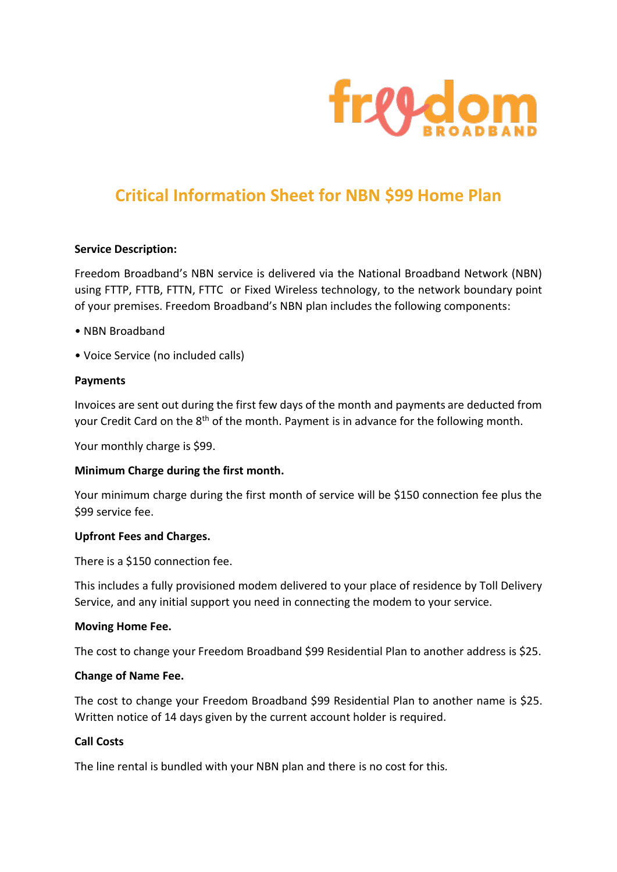

# **Critical Information Sheet for NBN \$99 Home Plan**

## **Service Description:**

Freedom Broadband's NBN service is delivered via the National Broadband Network (NBN) using FTTP, FTTB, FTTN, FTTC or Fixed Wireless technology, to the network boundary point of your premises. Freedom Broadband's NBN plan includes the following components:

- NBN Broadband
- Voice Service (no included calls)

## **Payments**

Invoices are sent out during the first few days of the month and payments are deducted from your Credit Card on the 8<sup>th</sup> of the month. Payment is in advance for the following month.

Your monthly charge is \$99.

## **Minimum Charge during the first month.**

Your minimum charge during the first month of service will be \$150 connection fee plus the \$99 service fee.

## **Upfront Fees and Charges.**

There is a \$150 connection fee.

This includes a fully provisioned modem delivered to your place of residence by Toll Delivery Service, and any initial support you need in connecting the modem to your service.

#### **Moving Home Fee.**

The cost to change your Freedom Broadband \$99 Residential Plan to another address is \$25.

## **Change of Name Fee.**

The cost to change your Freedom Broadband \$99 Residential Plan to another name is \$25. Written notice of 14 days given by the current account holder is required.

# **Call Costs**

The line rental is bundled with your NBN plan and there is no cost for this.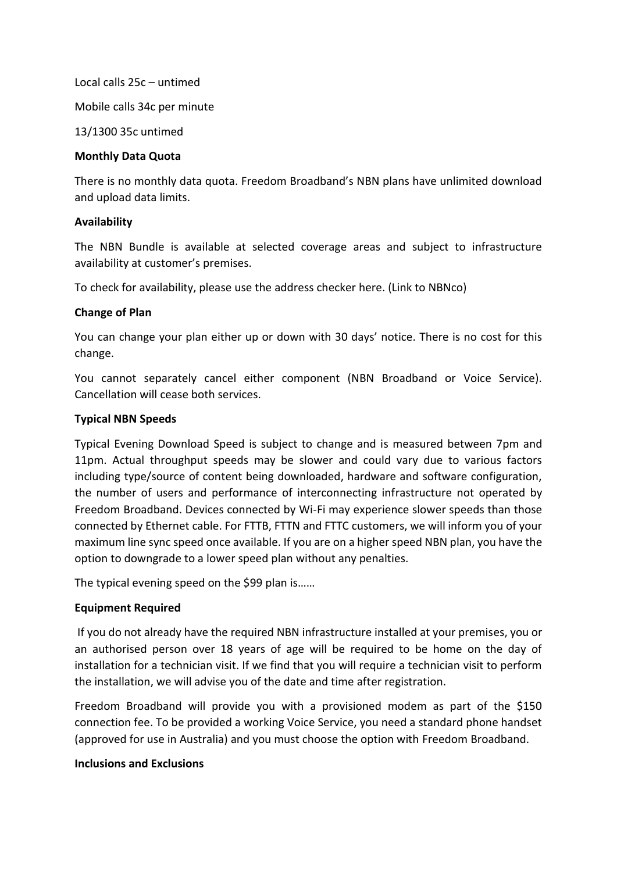Local calls 25c – untimed Mobile calls 34c per minute

13/1300 35c untimed

# **Monthly Data Quota**

There is no monthly data quota. Freedom Broadband's NBN plans have unlimited download and upload data limits.

# **Availability**

The NBN Bundle is available at selected coverage areas and subject to infrastructure availability at customer's premises.

To check for availability, please use the address checker here. (Link to NBNco)

# **Change of Plan**

You can change your plan either up or down with 30 days' notice. There is no cost for this change.

You cannot separately cancel either component (NBN Broadband or Voice Service). Cancellation will cease both services.

# **Typical NBN Speeds**

Typical Evening Download Speed is subject to change and is measured between 7pm and 11pm. Actual throughput speeds may be slower and could vary due to various factors including type/source of content being downloaded, hardware and software configuration, the number of users and performance of interconnecting infrastructure not operated by Freedom Broadband. Devices connected by Wi-Fi may experience slower speeds than those connected by Ethernet cable. For FTTB, FTTN and FTTC customers, we will inform you of your maximum line sync speed once available. If you are on a higher speed NBN plan, you have the option to downgrade to a lower speed plan without any penalties.

The typical evening speed on the \$99 plan is……

# **Equipment Required**

If you do not already have the required NBN infrastructure installed at your premises, you or an authorised person over 18 years of age will be required to be home on the day of installation for a technician visit. If we find that you will require a technician visit to perform the installation, we will advise you of the date and time after registration.

Freedom Broadband will provide you with a provisioned modem as part of the \$150 connection fee. To be provided a working Voice Service, you need a standard phone handset (approved for use in Australia) and you must choose the option with Freedom Broadband.

## **Inclusions and Exclusions**